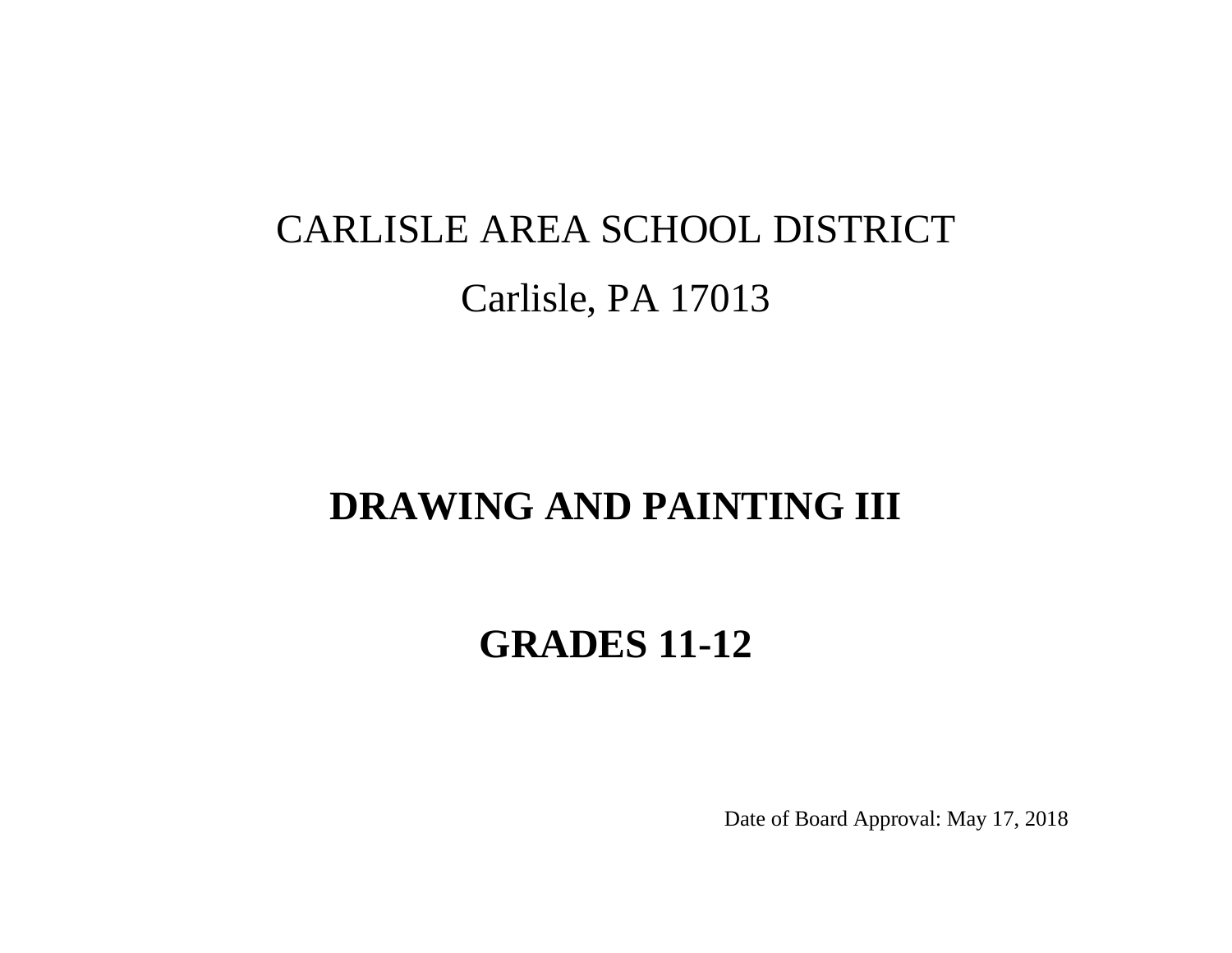# CARLISLE AREA SCHOOL DISTRICT Carlisle, PA 17013

# **DRAWING AND PAINTING III**

# **GRADES 11-12**

Date of Board Approval: May 17, 2018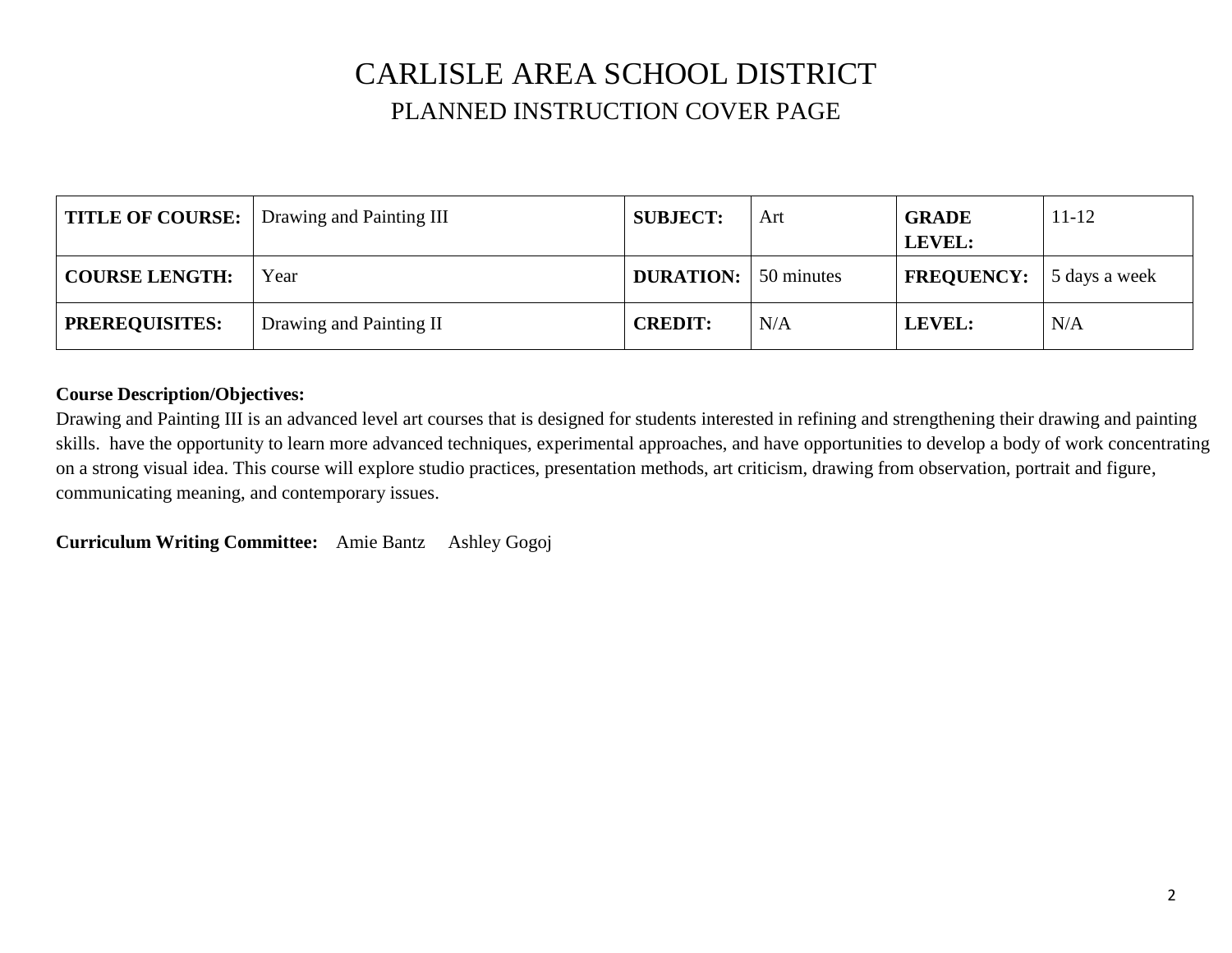## CARLISLE AREA SCHOOL DISTRICT PLANNED INSTRUCTION COVER PAGE

|                       | TITLE OF COURSE:   Drawing and Painting III | <b>SUBJECT:</b>             | Art | <b>GRADE</b><br>LEVEL:                  | $11 - 12$ |
|-----------------------|---------------------------------------------|-----------------------------|-----|-----------------------------------------|-----------|
| <b>COURSE LENGTH:</b> | Year                                        | <b>DURATION:</b> 50 minutes |     | <b>FREQUENCY:</b> $\vert$ 5 days a week |           |
| <b>PREREQUISITES:</b> | Drawing and Painting II                     | <b>CREDIT:</b>              | N/A | LEVEL:                                  | N/A       |

#### **Course Description/Objectives:**

Drawing and Painting III is an advanced level art courses that is designed for students interested in refining and strengthening their drawing and painting skills. have the opportunity to learn more advanced techniques, experimental approaches, and have opportunities to develop a body of work concentrating on a strong visual idea. This course will explore studio practices, presentation methods, art criticism, drawing from observation, portrait and figure, communicating meaning, and contemporary issues.

**Curriculum Writing Committee:** Amie Bantz Ashley Gogoj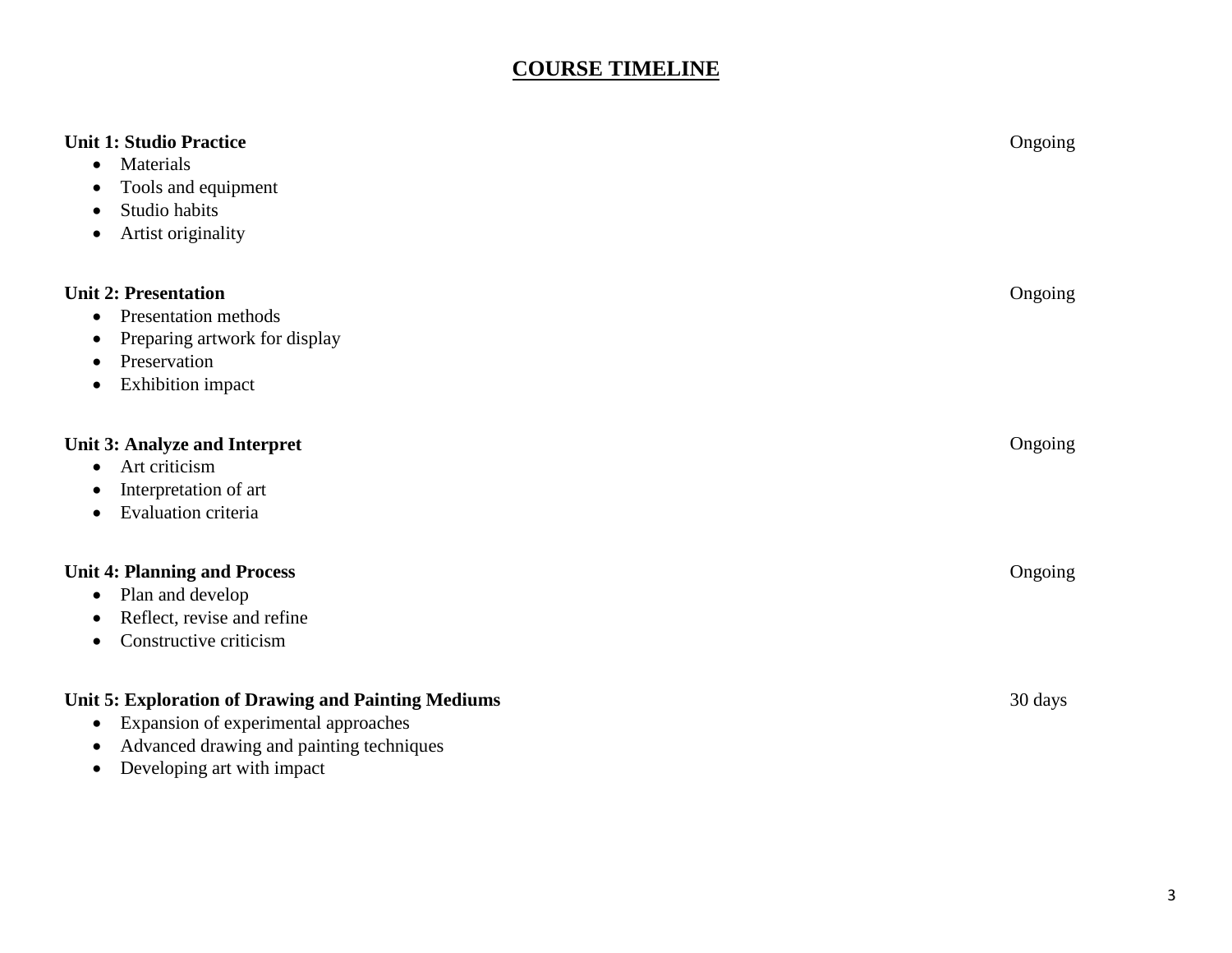### **COURSE TIMELINE**

| <b>Unit 1: Studio Practice</b><br>Materials<br>$\bullet$<br>Tools and equipment<br>Studio habits<br>Artist originality<br>$\bullet$                                                                          | Ongoing |
|--------------------------------------------------------------------------------------------------------------------------------------------------------------------------------------------------------------|---------|
| <b>Unit 2: Presentation</b><br>Presentation methods<br>$\bullet$<br>Preparing artwork for display<br>Preservation<br><b>Exhibition</b> impact<br>$\bullet$                                                   | Ongoing |
| Unit 3: Analyze and Interpret<br>Art criticism<br>Interpretation of art<br><b>Evaluation criteria</b><br>$\bullet$                                                                                           | Ongoing |
| <b>Unit 4: Planning and Process</b><br>Plan and develop<br>$\bullet$<br>Reflect, revise and refine<br>Constructive criticism<br>$\bullet$                                                                    | Ongoing |
| Unit 5: Exploration of Drawing and Painting Mediums<br>Expansion of experimental approaches<br>$\bullet$<br>Advanced drawing and painting techniques<br>$\bullet$<br>Developing art with impact<br>$\bullet$ | 30 days |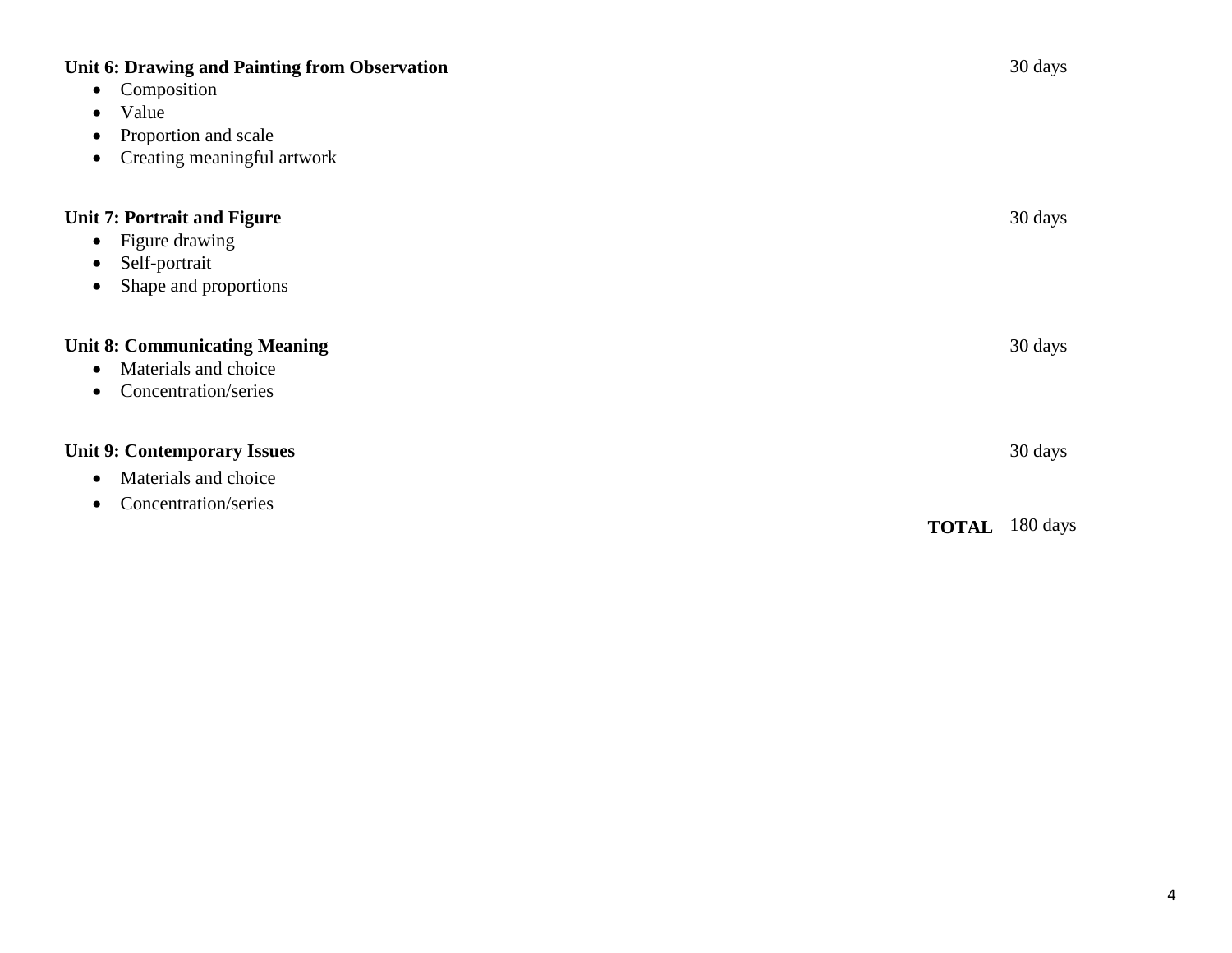| <b>Unit 6: Drawing and Painting from Observation</b><br>Composition<br>$\bullet$<br>Value<br>$\bullet$<br>Proportion and scale<br>$\bullet$<br>Creating meaningful artwork<br>$\bullet$ |              | 30 days  |
|-----------------------------------------------------------------------------------------------------------------------------------------------------------------------------------------|--------------|----------|
| <b>Unit 7: Portrait and Figure</b><br>Figure drawing<br>$\bullet$<br>Self-portrait<br>$\bullet$<br>Shape and proportions<br>$\bullet$                                                   |              | 30 days  |
| <b>Unit 8: Communicating Meaning</b><br>Materials and choice<br>$\bullet$<br>Concentration/series<br>$\bullet$                                                                          |              | 30 days  |
| <b>Unit 9: Contemporary Issues</b><br>Materials and choice<br>$\bullet$<br>Concentration/series<br>$\bullet$                                                                            |              | 30 days  |
|                                                                                                                                                                                         | <b>TOTAL</b> | 180 days |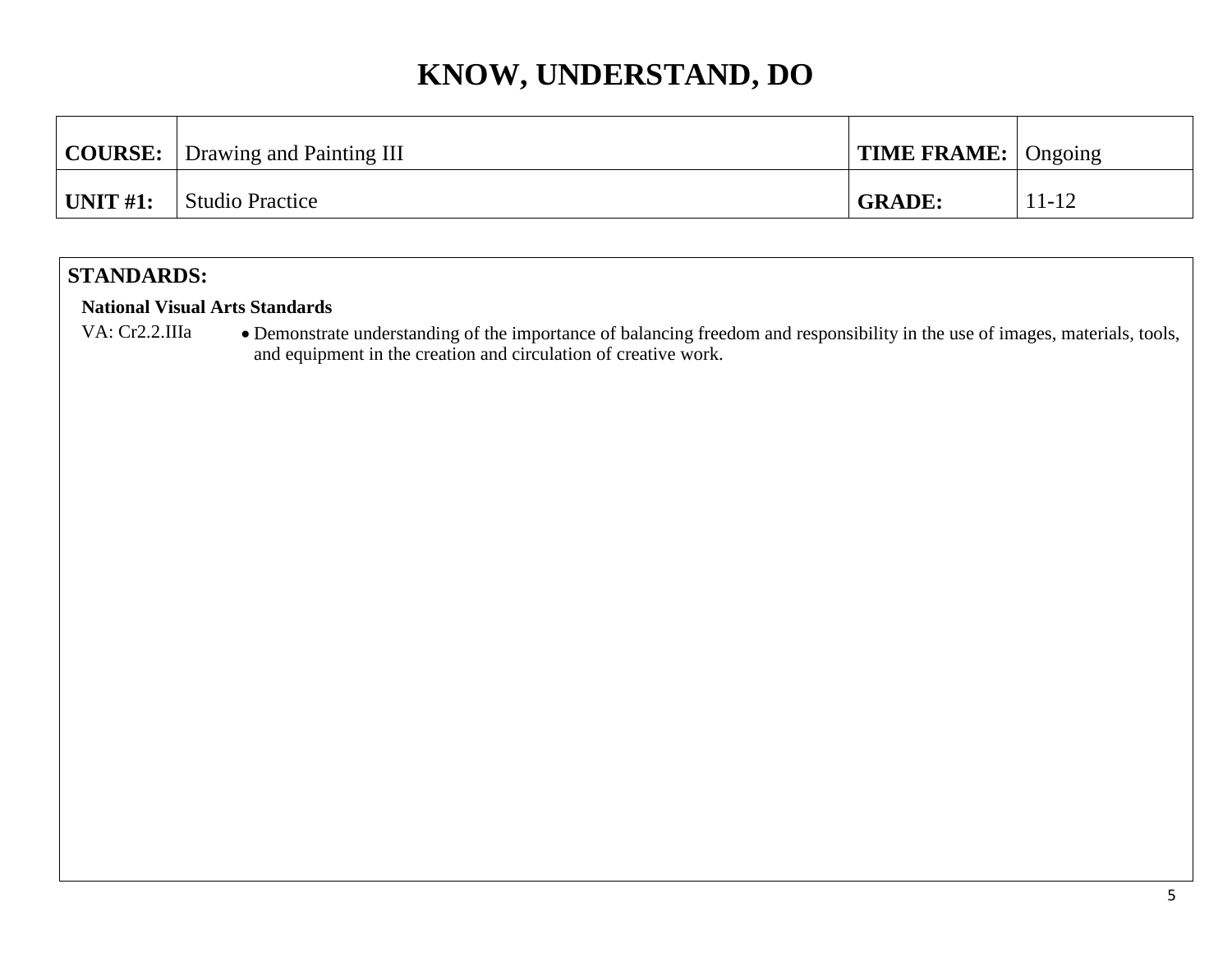|                  | <b>COURSE:</b> Drawing and Painting III | $\mid$ TIME FRAME: $\mid$ Ongoing |           |
|------------------|-----------------------------------------|-----------------------------------|-----------|
| $\vert$ UNIT #1: | Studio Practice                         | <b>GRADE:</b>                     | $11 - 12$ |

### **STANDARDS:**

#### **National Visual Arts Standards**

VA: Cr2.2.IIIa • Demonstrate understanding of the importance of balancing freedom and responsibility in the use of images, materials, tools, and equipment in the creation and circulation of creative work.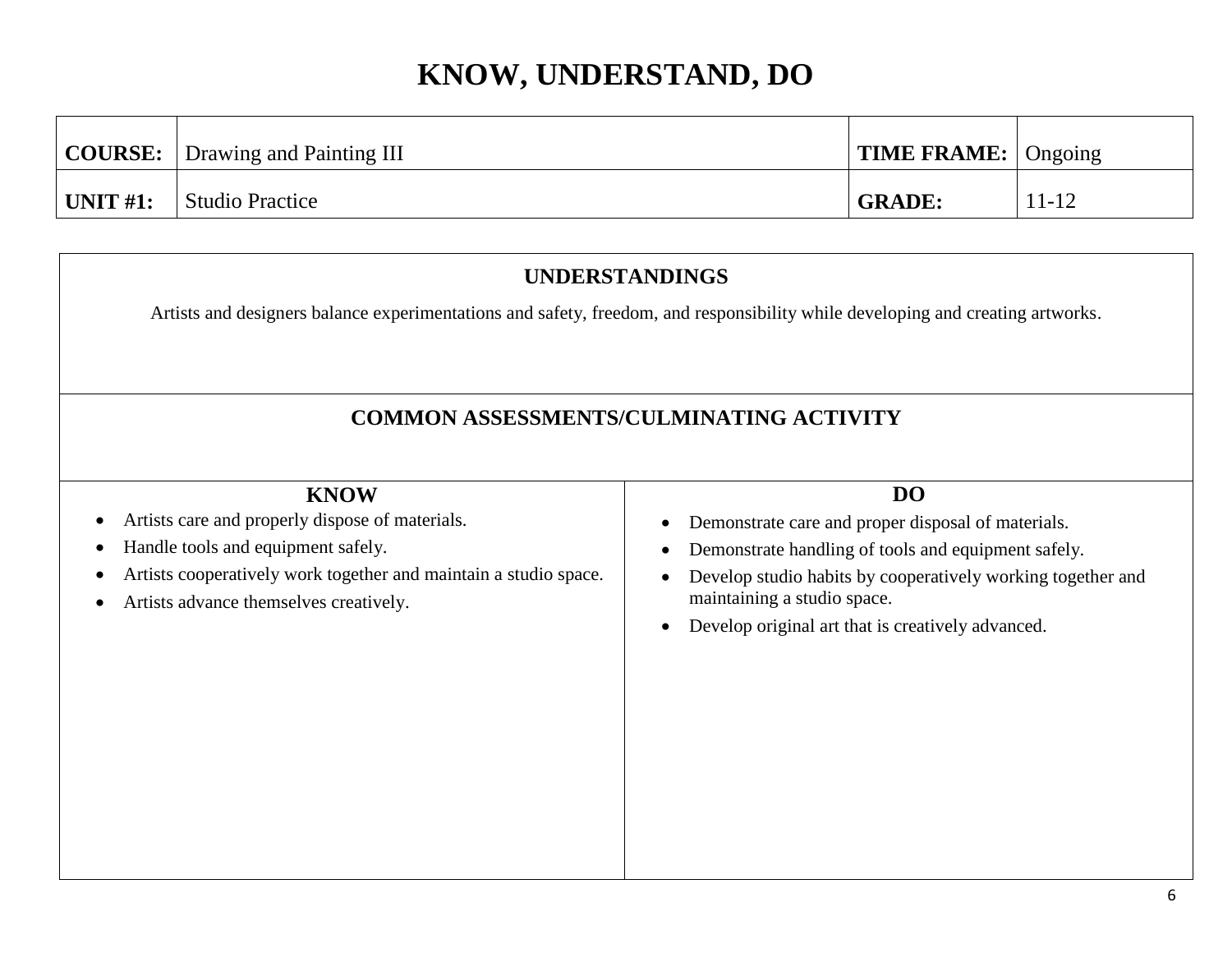|                       | <b>COURSE:</b>   Drawing and Painting III | <b>TIME FRAME:</b> $\log$ Ongoing |           |
|-----------------------|-------------------------------------------|-----------------------------------|-----------|
| $^{\dagger}$ UNIT #1: | Studio Practice                           | <b>GRADE:</b>                     | $11 - 12$ |

### **UNDERSTANDINGS**

Artists and designers balance experimentations and safety, freedom, and responsibility while developing and creating artworks.

### **COMMON ASSESSMENTS/CULMINATING ACTIVITY**

| <b>KNOW</b>                                                                                                                          | D <sub>O</sub>                                                                                          |
|--------------------------------------------------------------------------------------------------------------------------------------|---------------------------------------------------------------------------------------------------------|
| Artists care and properly dispose of materials.<br>$\bullet$                                                                         | Demonstrate care and proper disposal of materials.<br>٠                                                 |
| Handle tools and equipment safely.<br>$\bullet$                                                                                      | Demonstrate handling of tools and equipment safely.<br>$\bullet$                                        |
| Artists cooperatively work together and maintain a studio space.<br>$\bullet$<br>Artists advance themselves creatively.<br>$\bullet$ | Develop studio habits by cooperatively working together and<br>$\bullet$<br>maintaining a studio space. |
|                                                                                                                                      | Develop original art that is creatively advanced.<br>$\bullet$                                          |
|                                                                                                                                      |                                                                                                         |
|                                                                                                                                      |                                                                                                         |
|                                                                                                                                      |                                                                                                         |
|                                                                                                                                      |                                                                                                         |
|                                                                                                                                      |                                                                                                         |
|                                                                                                                                      |                                                                                                         |
|                                                                                                                                      |                                                                                                         |
|                                                                                                                                      |                                                                                                         |
|                                                                                                                                      |                                                                                                         |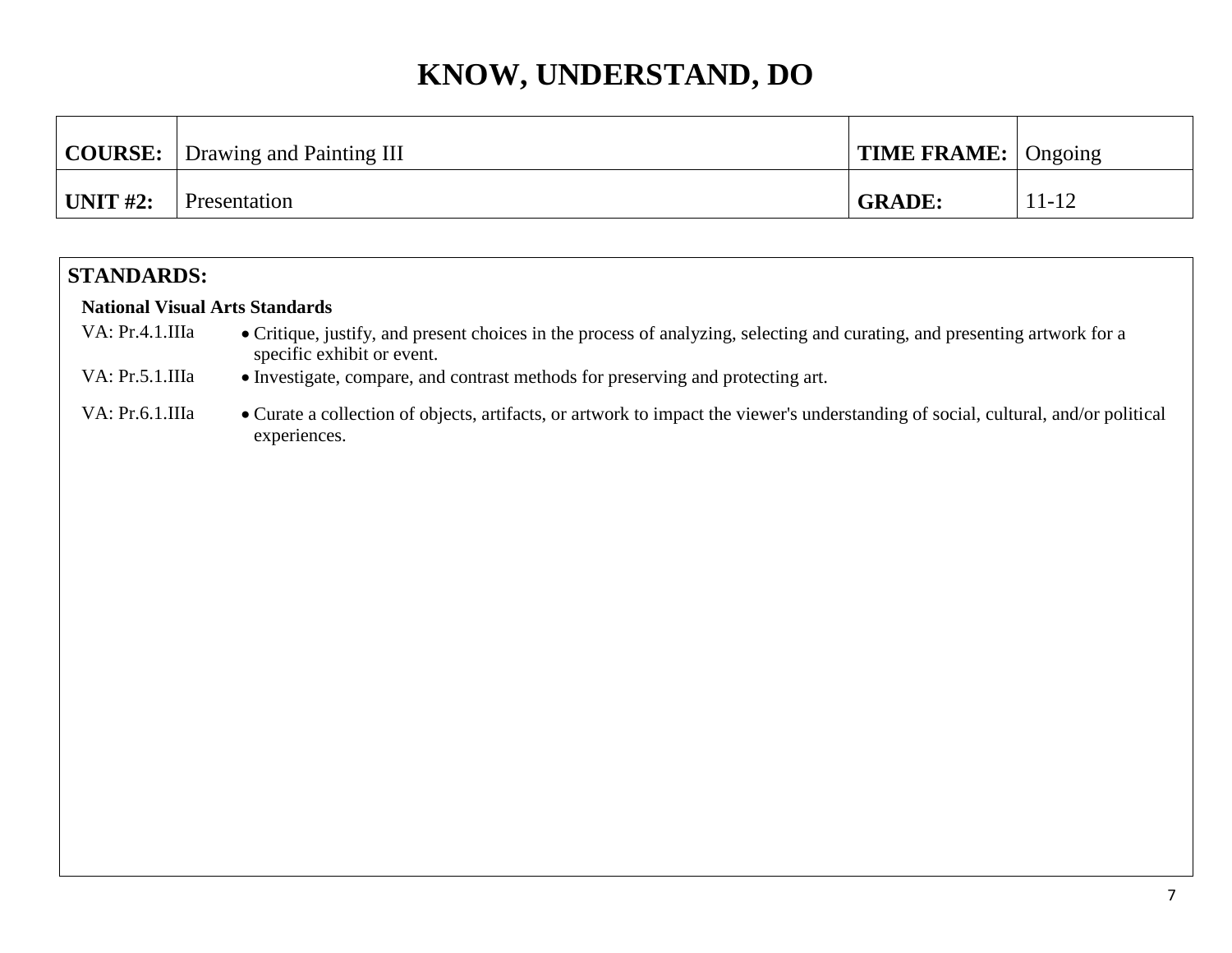|                  | <b>COURSE:</b> Drawing and Painting III | $\vert$ TIME FRAME: $\vert$ Ongoing |           |
|------------------|-----------------------------------------|-------------------------------------|-----------|
| $\vert$ UNIT #2: | Presentation                            | <b>GRADE:</b>                       | $11 - 12$ |

### **STANDARDS:**

#### **National Visual Arts Standards**

- VA: Pr.4.1.IIIa Critique, justify, and present choices in the process of analyzing, selecting and curating, and presenting artwork for a specific exhibit or event.
- VA: Pr.5.1.IIIa Investigate, compare, and contrast methods for preserving and protecting art.
- VA: Pr.6.1.IIIa Curate a collection of objects, artifacts, or artwork to impact the viewer's understanding of social, cultural, and/or political experiences.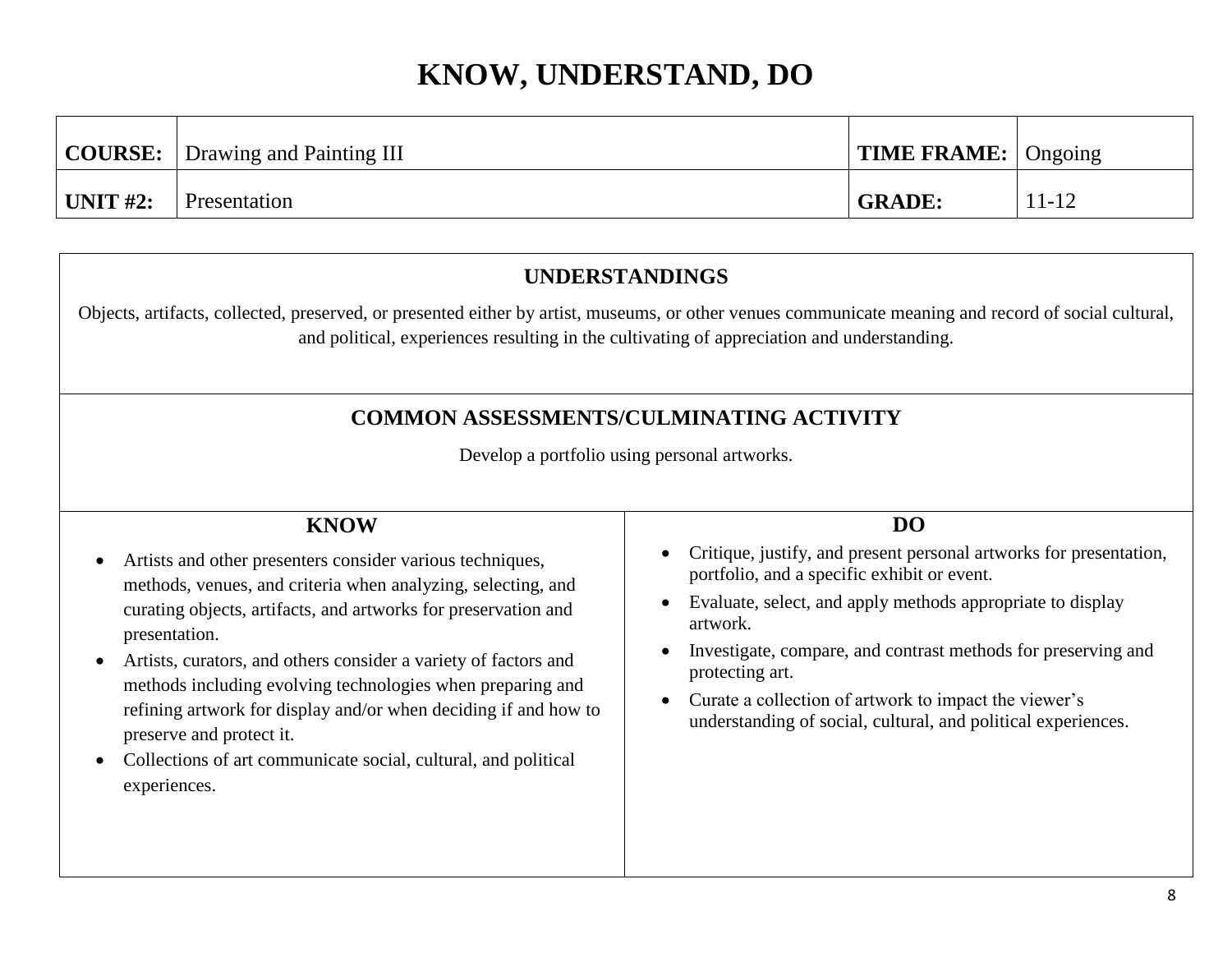|                  | <b>COURSE:</b> Drawing and Painting III | <b>TIME FRAME:</b> Ongoing |           |
|------------------|-----------------------------------------|----------------------------|-----------|
| $\vert$ UNIT #2: | Presentation                            | <b>GRADE:</b>              | $11 - 12$ |

### **UNDERSTANDINGS**

Objects, artifacts, collected, preserved, or presented either by artist, museums, or other venues communicate meaning and record of social cultural, and political, experiences resulting in the cultivating of appreciation and understanding.

### **COMMON ASSESSMENTS/CULMINATING ACTIVITY**

Develop a portfolio using personal artworks.

### **KNOW**

- Artists and other presenters consider various techniques, methods, venues, and criteria when analyzing, selecting, and curating objects, artifacts, and artworks for preservation and presentation.
- Artists, curators, and others consider a variety of factors and methods including evolving technologies when preparing and refining artwork for display and/or when deciding if and how to preserve and protect it.
- Collections of art communicate social, cultural, and political experiences.

#### **DO**

- Critique, justify, and present personal artworks for presentation, portfolio, and a specific exhibit or event.
- Evaluate, select, and apply methods appropriate to display artwork.
- Investigate, compare, and contrast methods for preserving and protecting art.
- Curate a collection of artwork to impact the viewer's understanding of social, cultural, and political experiences.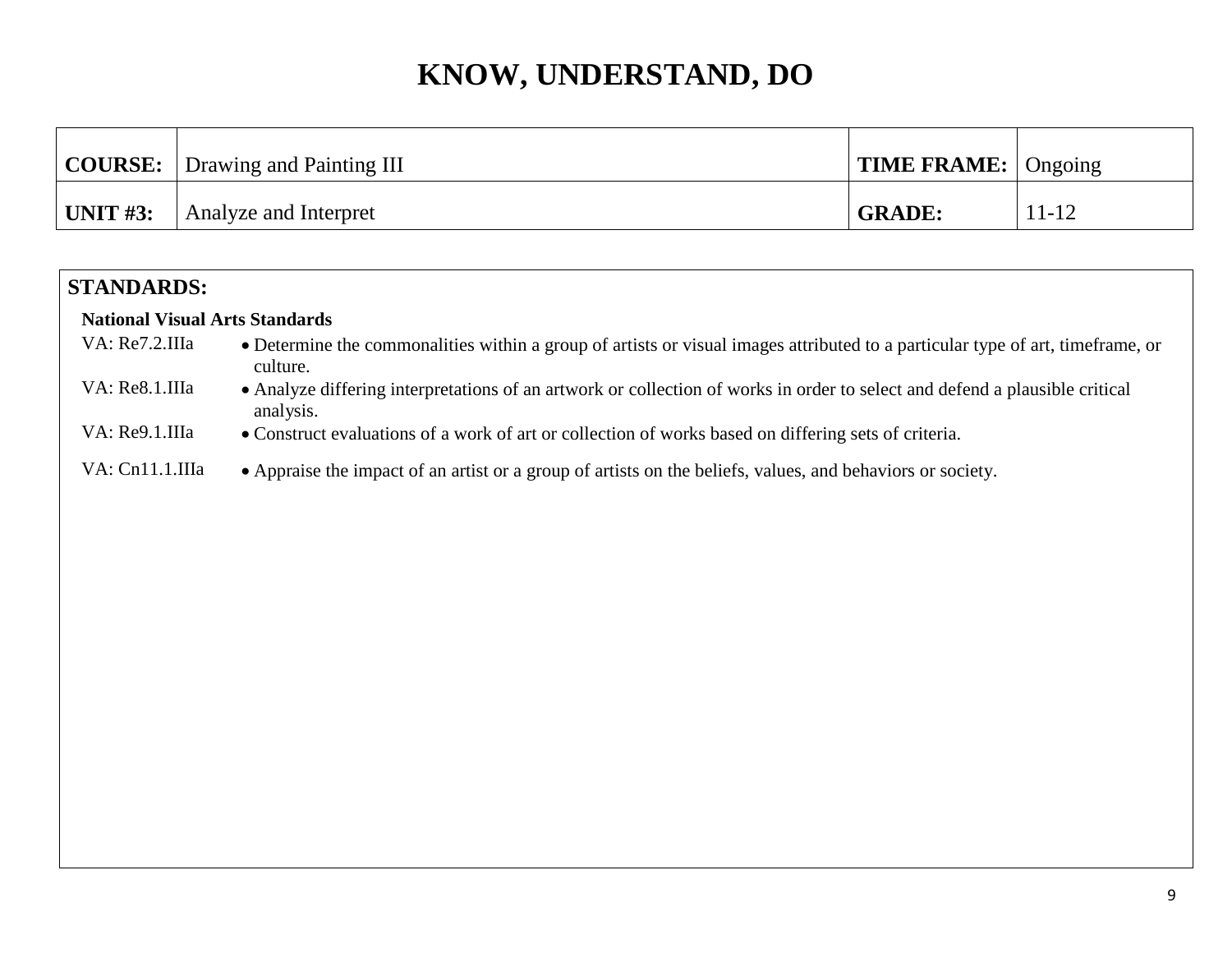|              | <b>COURSE:</b> Drawing and Painting III | <b>TIME FRAME:</b> Ongoing |           |
|--------------|-----------------------------------------|----------------------------|-----------|
| $ $ UNIT #3: | Analyze and Interpret                   | <b>GRADE:</b>              | $11 - 12$ |

| <b>STANDARDS:</b>                     |                                                                                                                                            |
|---------------------------------------|--------------------------------------------------------------------------------------------------------------------------------------------|
| <b>National Visual Arts Standards</b> |                                                                                                                                            |
| VA: Re7.2.IIIa                        | • Determine the commonalities within a group of artists or visual images attributed to a particular type of art, timeframe, or<br>culture. |
| VA: Re8.1.IIIa                        | • Analyze differing interpretations of an artwork or collection of works in order to select and defend a plausible critical<br>analysis.   |
| VA: Re9.1.IIIa                        | • Construct evaluations of a work of art or collection of works based on differing sets of criteria.                                       |
| VA: Cn11.1.IIIa                       | • Appraise the impact of an artist or a group of artists on the beliefs, values, and behaviors or society.                                 |
|                                       |                                                                                                                                            |
|                                       |                                                                                                                                            |
|                                       |                                                                                                                                            |
|                                       |                                                                                                                                            |
|                                       |                                                                                                                                            |
|                                       |                                                                                                                                            |
|                                       |                                                                                                                                            |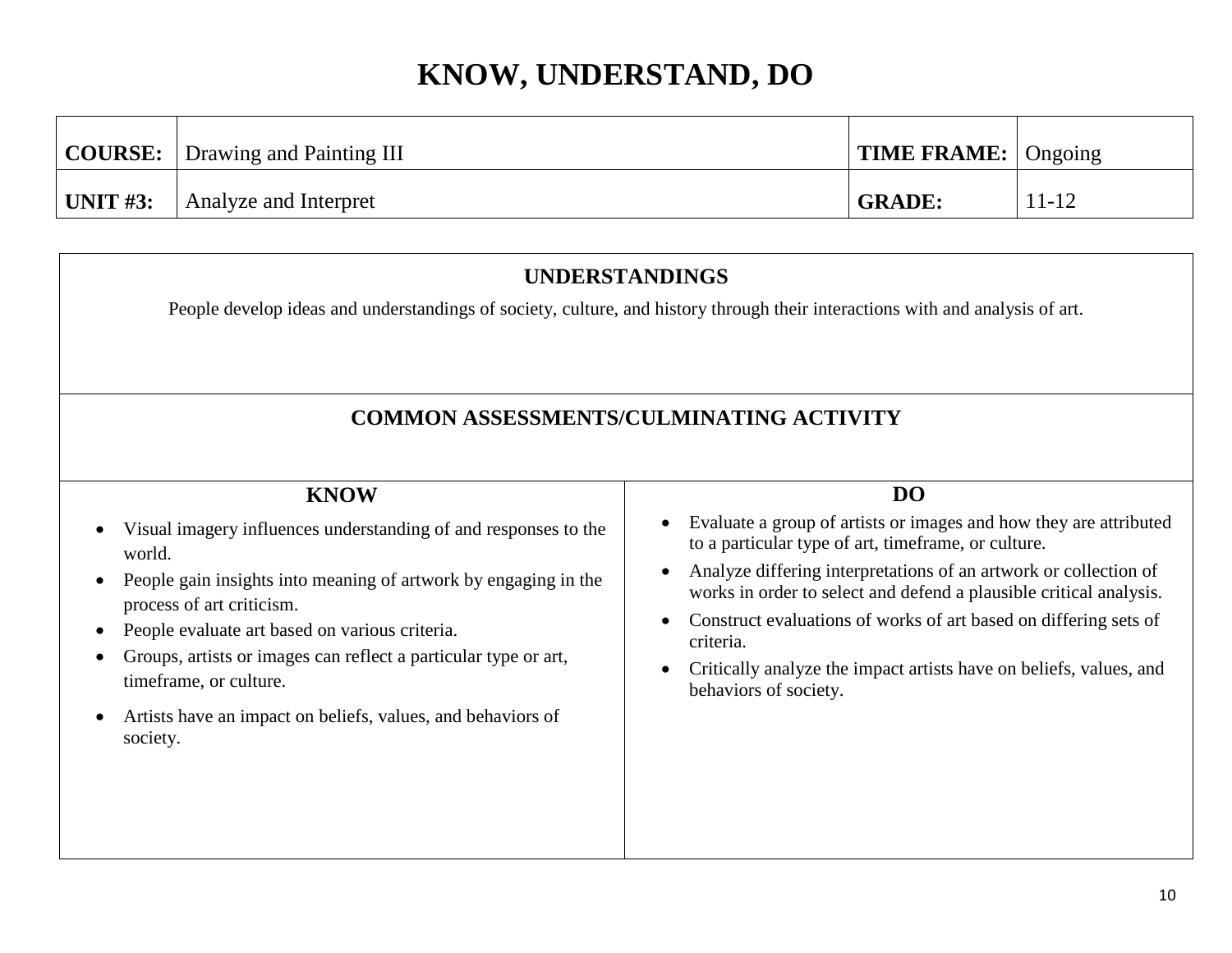|                  | <b>COURSE:</b> Drawing and Painting III | <b>TIME FRAME:</b> $\bigcap$ Ongoing |       |
|------------------|-----------------------------------------|--------------------------------------|-------|
| $\vert$ UNIT #3: | Analyze and Interpret                   | <b>GRADE:</b>                        | 11-12 |

### **UNDERSTANDINGS** People develop ideas and understandings of society, culture, and history through their interactions with and analysis of art. **COMMON ASSESSMENTS/CULMINATING ACTIVITY KNOW** Visual imagery influences understanding of and responses to the world. • People gain insights into meaning of artwork by engaging in the process of art criticism. People evaluate art based on various criteria. Groups, artists or images can reflect a particular type or art, timeframe, or culture. Artists have an impact on beliefs, values, and behaviors of society. **DO** Evaluate a group of artists or images and how they are attributed to a particular type of art, timeframe, or culture. Analyze differing interpretations of an artwork or collection of works in order to select and defend a plausible critical analysis. Construct evaluations of works of art based on differing sets of criteria. Critically analyze the impact artists have on beliefs, values, and behaviors of society.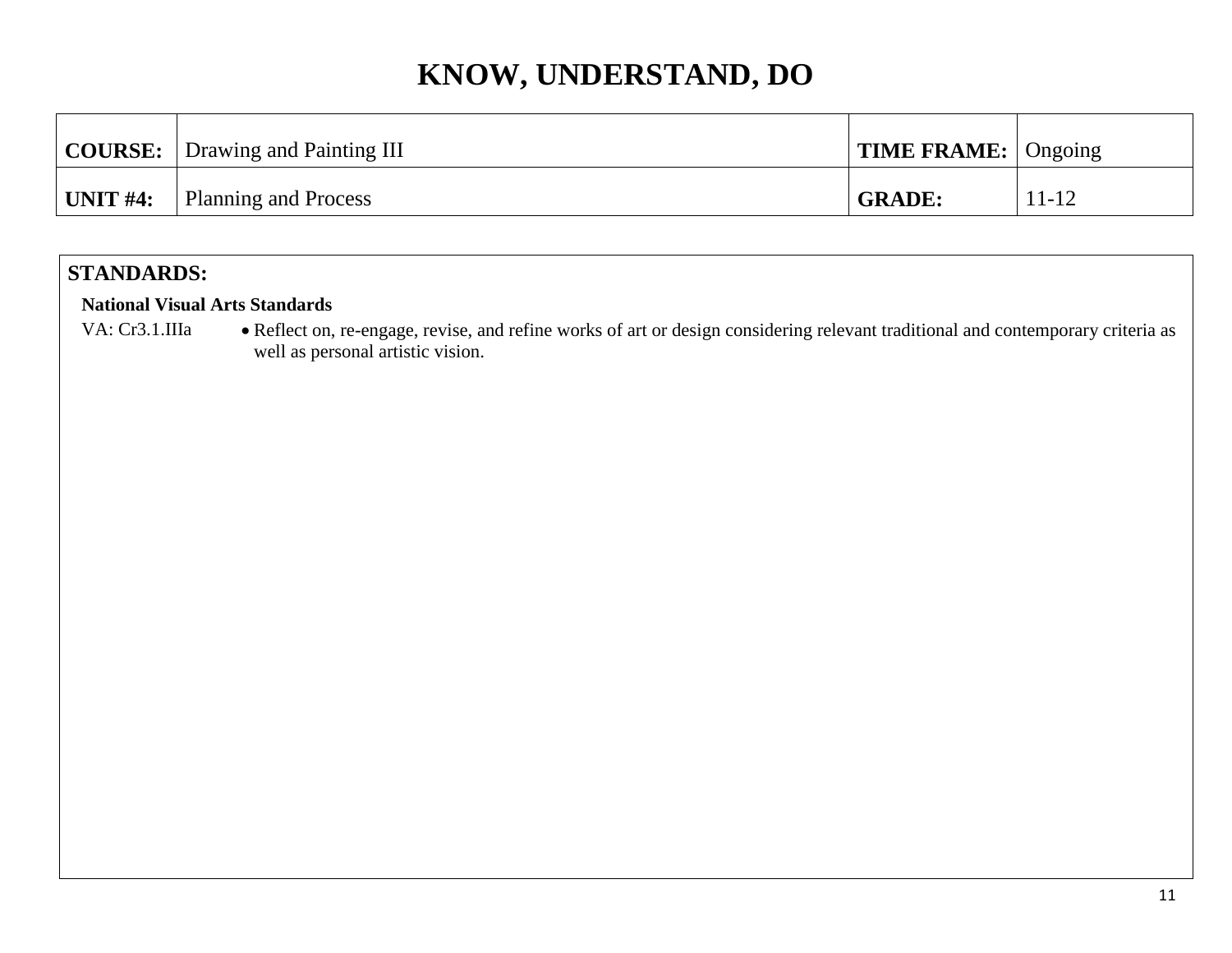|           | <b>COURSE:</b> Drawing and Painting III | <b>TIME FRAME:</b> Ongoing |           |
|-----------|-----------------------------------------|----------------------------|-----------|
| 'UNIT #4: | Planning and Process                    | <b>GRADE:</b>              | $11 - 12$ |

### **STANDARDS:**

#### **National Visual Arts Standards**

VA: Cr3.1.IIIa · Reflect on, re-engage, revise, and refine works of art or design considering relevant traditional and contemporary criteria as well as personal artistic vision.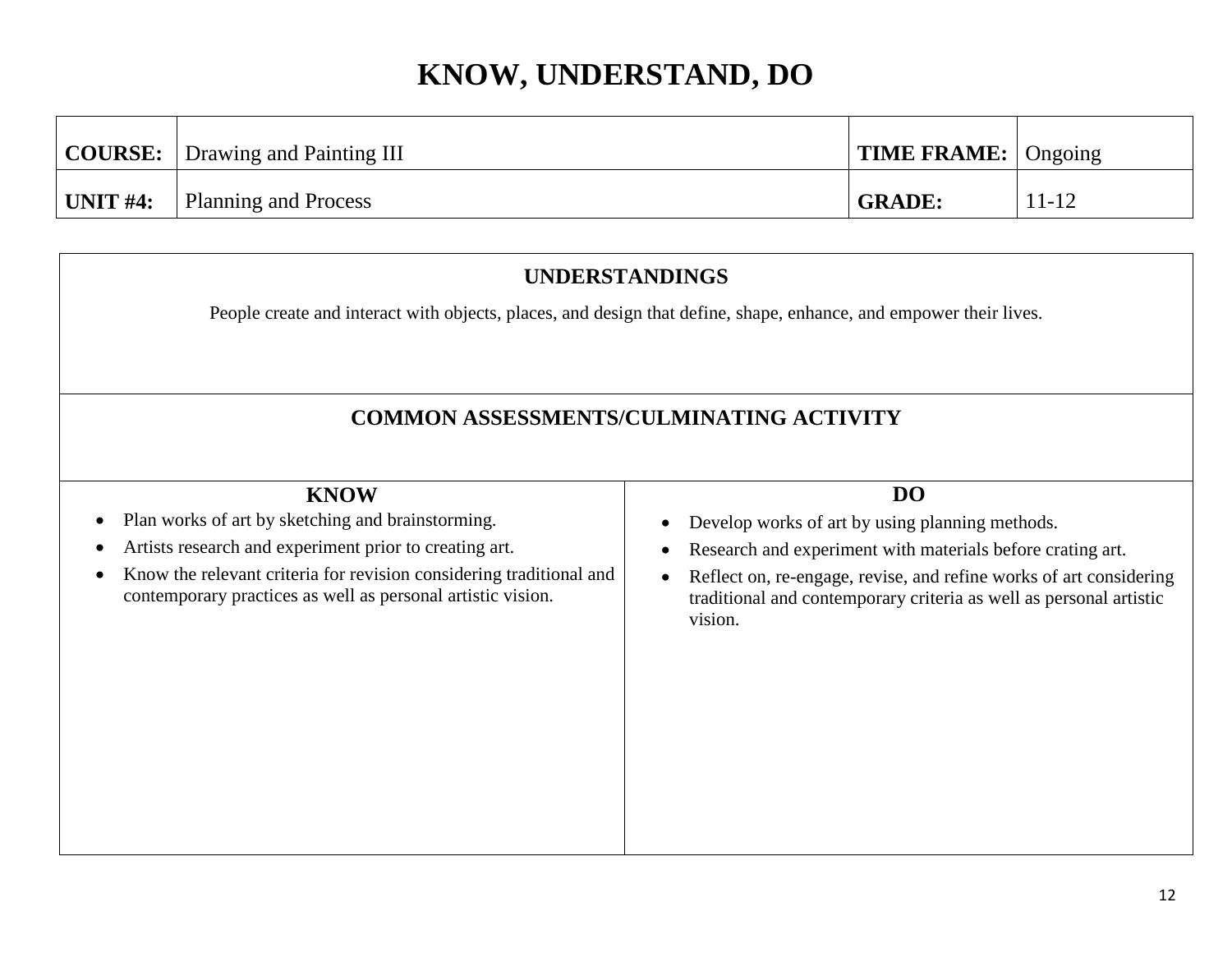|                 | <b>COURSE:</b> Drawing and Painting III | <b>TIME FRAME:</b> Ongoing |           |
|-----------------|-----------------------------------------|----------------------------|-----------|
| $\mid$ UNIT #4: | Planning and Process                    | <b>GRADE:</b>              | $11 - 12$ |

# **UNDERSTANDINGS** People create and interact with objects, places, and design that define, shape, enhance, and empower their lives. **COMMON ASSESSMENTS/CULMINATING ACTIVITY KNOW** • Plan works of art by sketching and brainstorming. Artists research and experiment prior to creating art. • Know the relevant criteria for revision considering traditional and contemporary practices as well as personal artistic vision. **DO** Develop works of art by using planning methods. Research and experiment with materials before crating art. Reflect on, re-engage, revise, and refine works of art considering traditional and contemporary criteria as well as personal artistic vision.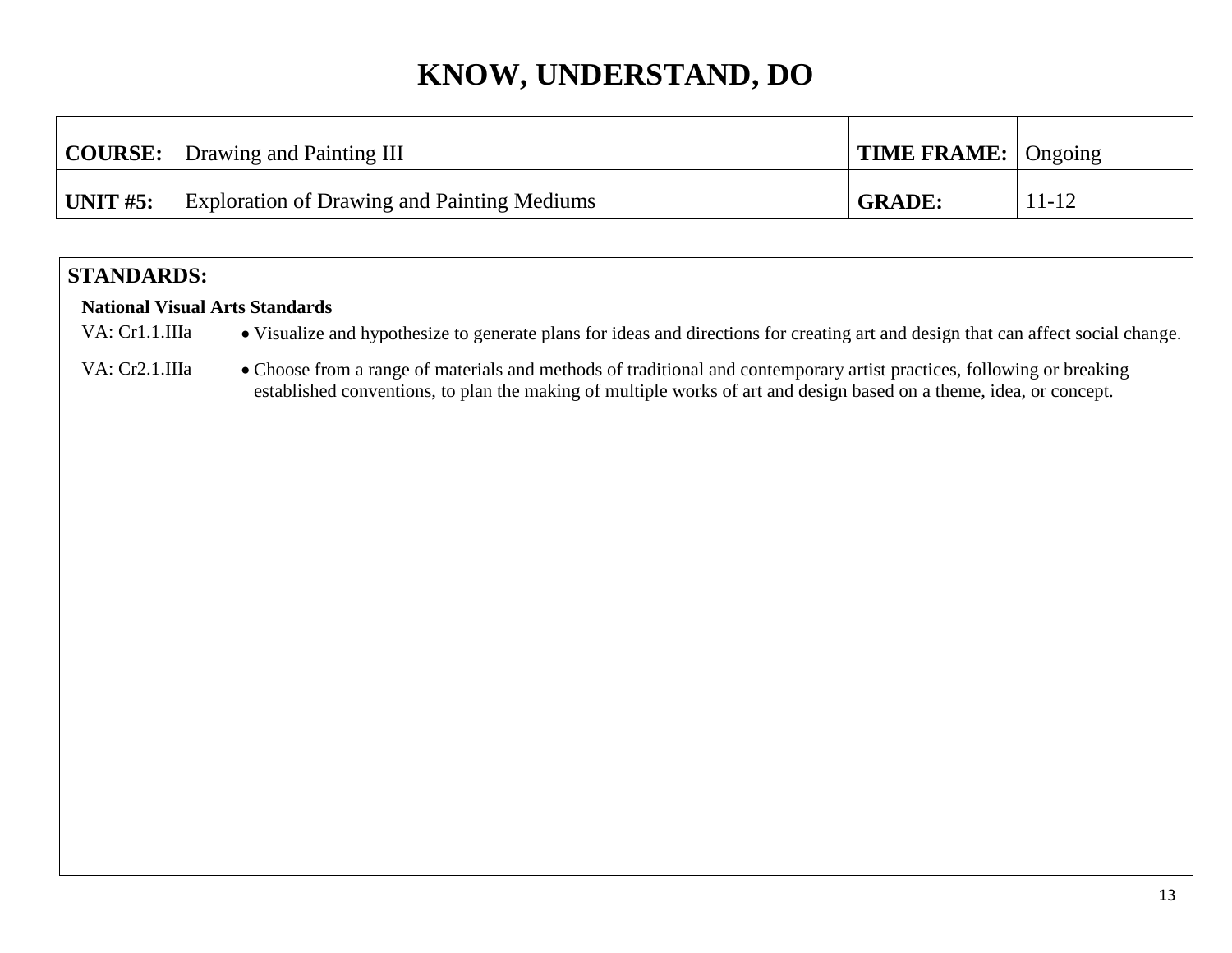|                  | <b>COURSE:</b> Drawing and Painting III            | <b>TIME FRAME:</b> Ongoing |           |
|------------------|----------------------------------------------------|----------------------------|-----------|
| $\vert$ UNIT #5: | <b>Exploration of Drawing and Painting Mediums</b> | <b>GRADE:</b>              | $11 - 12$ |

### **STANDARDS:**

#### **National Visual Arts Standards**

VA: Cr1.1.IIIa • Visualize and hypothesize to generate plans for ideas and directions for creating art and design that can affect social change.

VA: Cr2.1.IIIa • Choose from a range of materials and methods of traditional and contemporary artist practices, following or breaking established conventions, to plan the making of multiple works of art and design based on a theme, idea, or concept.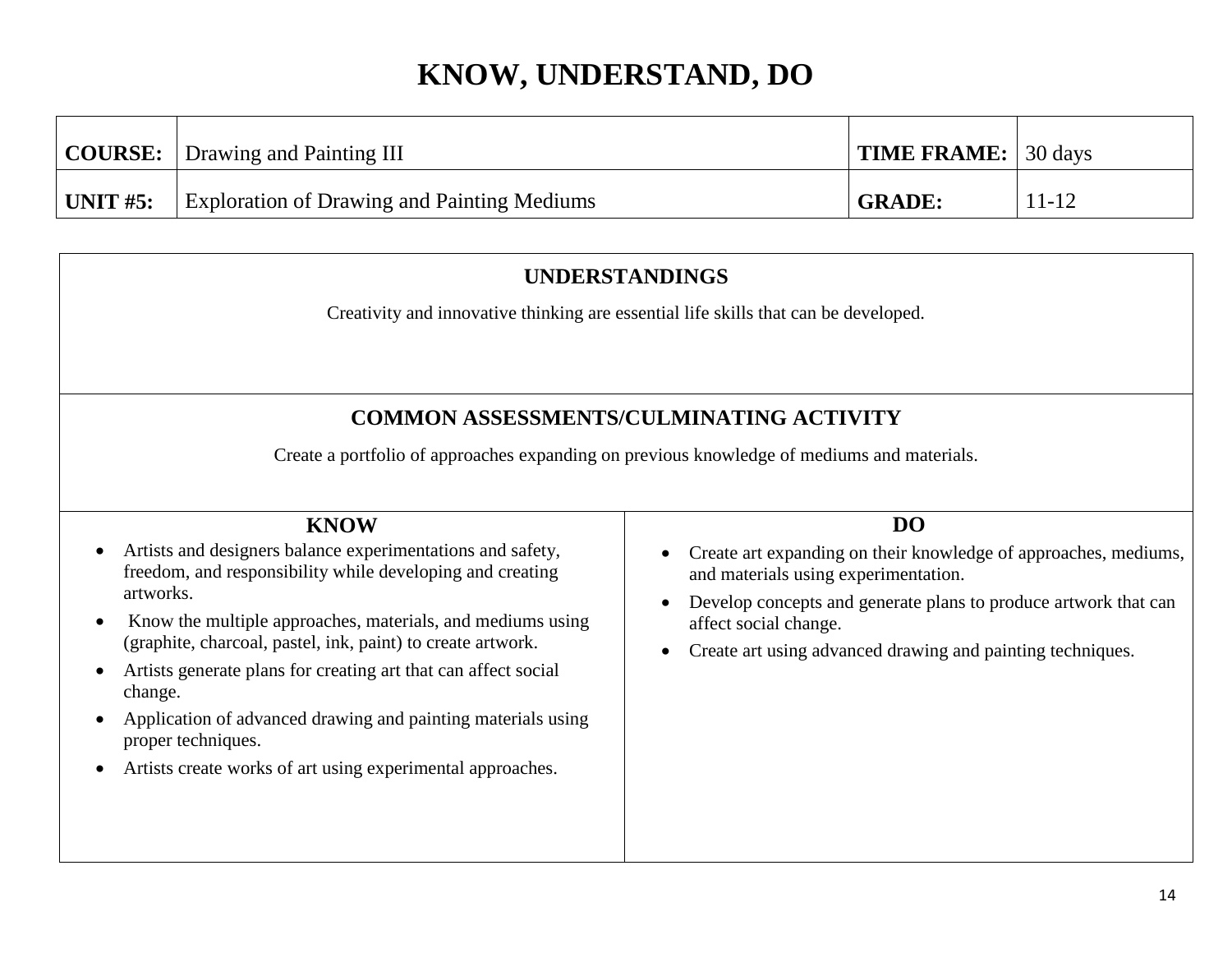|            | <b>COURSE:</b> Drawing and Painting III            | <b>TIME FRAME:</b> 30 days |           |
|------------|----------------------------------------------------|----------------------------|-----------|
| " UNIT #5: | <b>Exploration of Drawing and Painting Mediums</b> | <b>GRADE:</b>              | $11 - 12$ |

### **UNDERSTANDINGS**

Creativity and innovative thinking are essential life skills that can be developed.

### **COMMON ASSESSMENTS/CULMINATING ACTIVITY**

Create a portfolio of approaches expanding on previous knowledge of mediums and materials.

#### **KNOW**

- Artists and designers balance experimentations and safety, freedom, and responsibility while developing and creating artworks.
- Know the multiple approaches, materials, and mediums using (graphite, charcoal, pastel, ink, paint) to create artwork.
- Artists generate plans for creating art that can affect social change.
- Application of advanced drawing and painting materials using proper techniques.
- Artists create works of art using experimental approaches.

#### **DO**

- Create art expanding on their knowledge of approaches, mediums, and materials using experimentation.
- Develop concepts and generate plans to produce artwork that can affect social change.
- Create art using advanced drawing and painting techniques.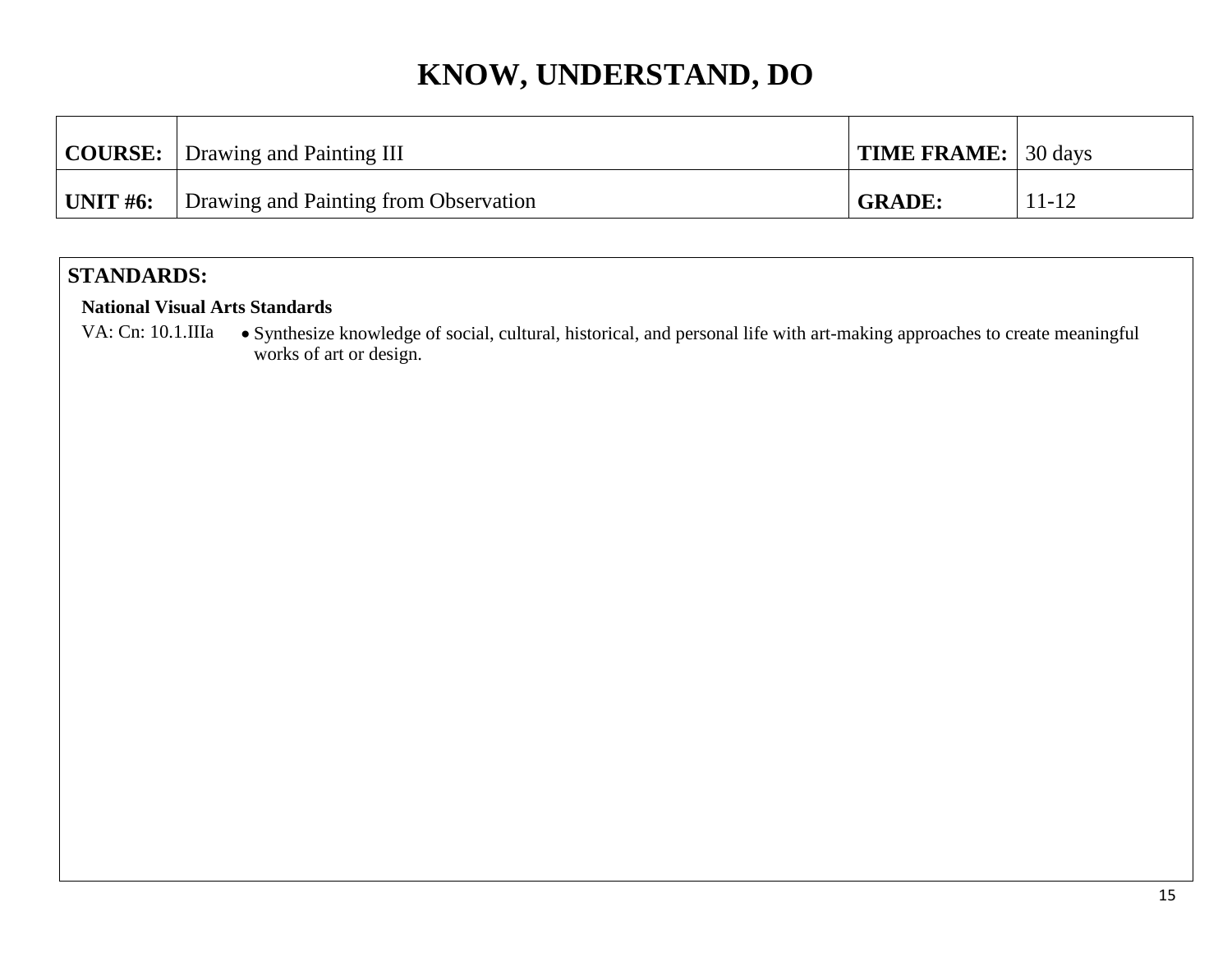|                  | <b>COURSE:</b> Drawing and Painting III | <b>TIME FRAME:</b> 30 days |           |
|------------------|-----------------------------------------|----------------------------|-----------|
| $\vert$ UNIT #6: | Drawing and Painting from Observation   | <b>GRADE:</b>              | $11 - 12$ |

### **STANDARDS:**

#### **National Visual Arts Standards**

VA: Cn: 10.1.IIIa • Synthesize knowledge of social, cultural, historical, and personal life with art-making approaches to create meaningful works of art or design.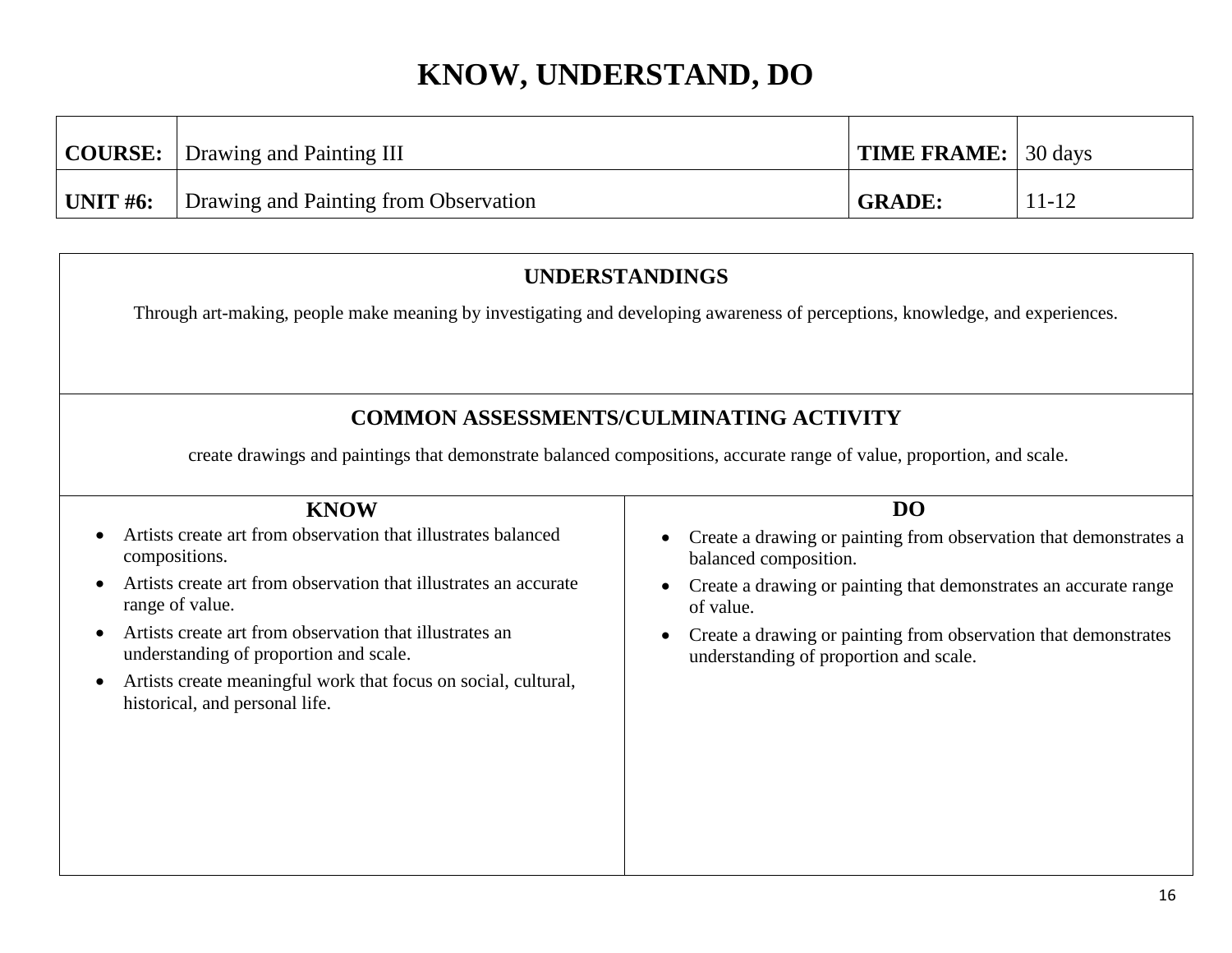|            | <b>COURSE:</b> Drawing and Painting III | <b>TIME FRAME:</b> 30 days |           |
|------------|-----------------------------------------|----------------------------|-----------|
| ' UNIT #6: | Drawing and Painting from Observation   | <b>GRADE:</b>              | $11 - 12$ |

### **UNDERSTANDINGS**

Through art-making, people make meaning by investigating and developing awareness of perceptions, knowledge, and experiences.

### **COMMON ASSESSMENTS/CULMINATING ACTIVITY**

create drawings and paintings that demonstrate balanced compositions, accurate range of value, proportion, and scale.

| <b>KNOW</b>                                                                                       | DO                                                                                                                     |
|---------------------------------------------------------------------------------------------------|------------------------------------------------------------------------------------------------------------------------|
| Artists create art from observation that illustrates balanced<br>compositions.                    | Create a drawing or painting from observation that demonstrates a<br>$\bullet$<br>balanced composition.                |
| Artists create art from observation that illustrates an accurate<br>range of value.               | Create a drawing or painting that demonstrates an accurate range<br>$\bullet$<br>of value.                             |
| Artists create art from observation that illustrates an<br>understanding of proportion and scale. | Create a drawing or painting from observation that demonstrates<br>$\bullet$<br>understanding of proportion and scale. |
| Artists create meaningful work that focus on social, cultural,<br>historical, and personal life.  |                                                                                                                        |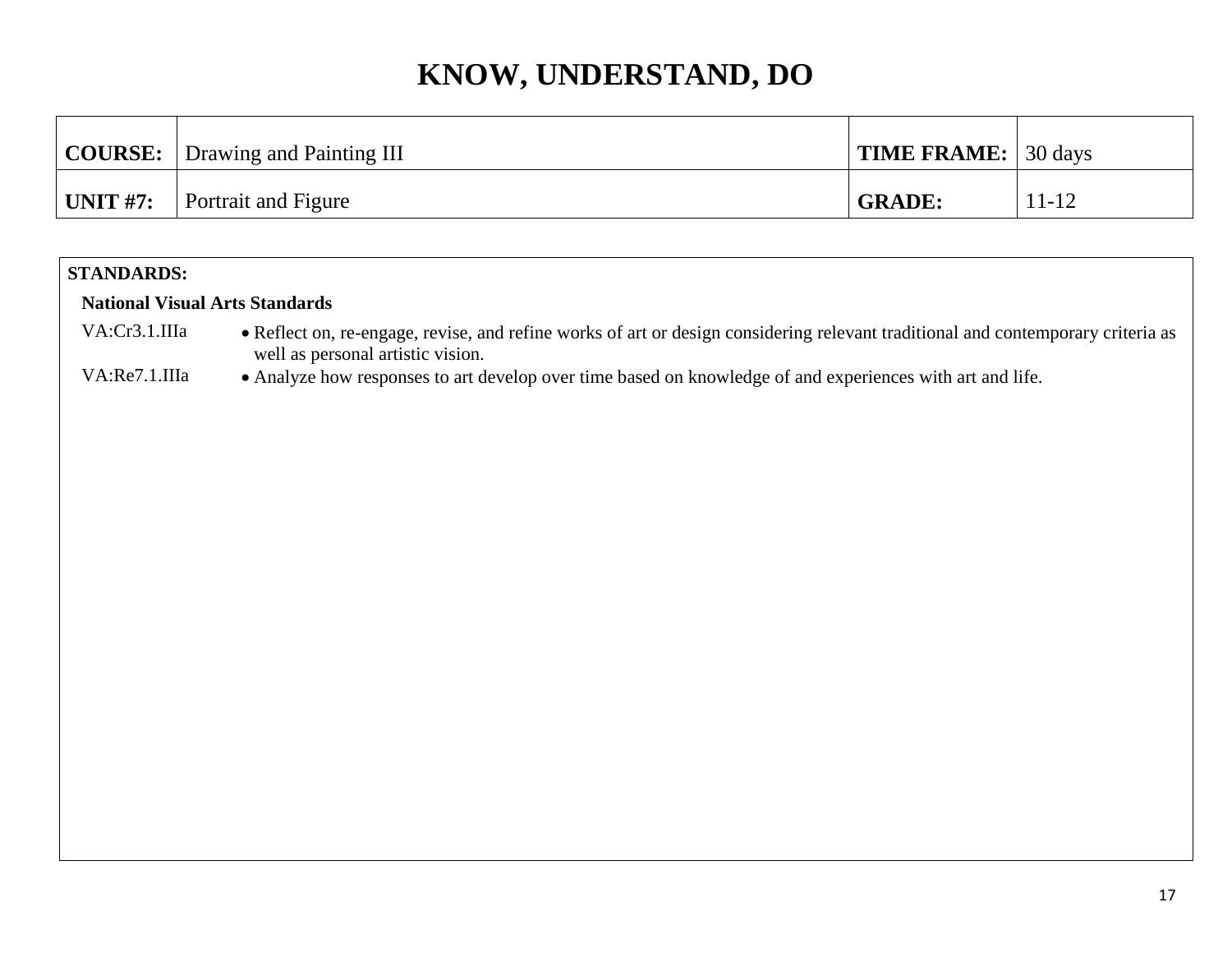|                     | <b>COURSE:</b>   Drawing and Painting III | <b>TIME FRAME:</b> 30 days |           |
|---------------------|-------------------------------------------|----------------------------|-----------|
| $^{\circ}$ UNIT #7: | <b>Portrait and Figure</b>                | <b>GRADE:</b>              | $11 - 12$ |

#### **STANDARDS:**

#### **National Visual Arts Standards**

- VA:Cr3.1.IIIa Reflect on, re-engage, revise, and refine works of art or design considering relevant traditional and contemporary criteria as well as personal artistic vision.
- VA:Re7.1.IIIa Analyze how responses to art develop over time based on knowledge of and experiences with art and life.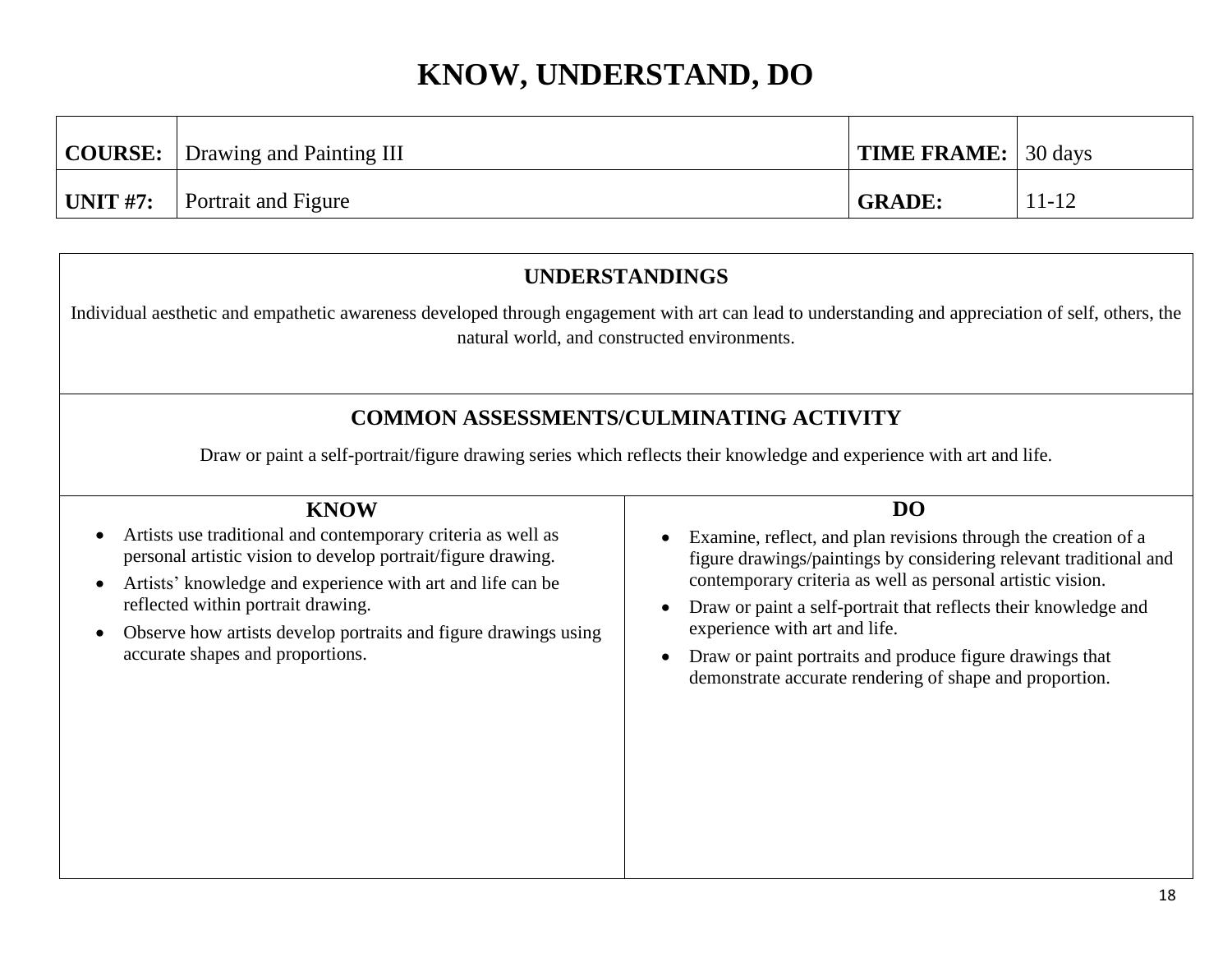|                  | <b>COURSE:</b> Drawing and Painting III | <b>TIME FRAME:</b> 30 days |           |
|------------------|-----------------------------------------|----------------------------|-----------|
| $\vert$ UNIT #7: | <b>Portrait and Figure</b>              | <b>GRADE:</b>              | $11 - 12$ |

### **UNDERSTANDINGS**

Individual aesthetic and empathetic awareness developed through engagement with art can lead to understanding and appreciation of self, others, the natural world, and constructed environments.

### **COMMON ASSESSMENTS/CULMINATING ACTIVITY**

| Draw or paint a self-portrait/figure drawing series which reflects their knowledge and experience with art and life. |                                                                   |  |  |  |
|----------------------------------------------------------------------------------------------------------------------|-------------------------------------------------------------------|--|--|--|
| <b>KNOW</b>                                                                                                          | D <sub>O</sub>                                                    |  |  |  |
| Artists use traditional and contemporary criteria as well as                                                         | Examine, reflect, and plan revisions through the creation of a    |  |  |  |
| $\bullet$                                                                                                            | figure drawings/paintings by considering relevant traditional and |  |  |  |
| personal artistic vision to develop portrait/figure drawing.                                                         | contemporary criteria as well as personal artistic vision.        |  |  |  |
| Artists' knowledge and experience with art and life can be                                                           | Draw or paint a self-portrait that reflects their knowledge and   |  |  |  |
| $\bullet$                                                                                                            | $\bullet$                                                         |  |  |  |
| reflected within portrait drawing.                                                                                   | experience with art and life.                                     |  |  |  |
| Observe how artists develop portraits and figure drawings using                                                      | Draw or paint portraits and produce figure drawings that          |  |  |  |
| $\bullet$                                                                                                            | $\bullet$                                                         |  |  |  |
| accurate shapes and proportions.                                                                                     | demonstrate accurate rendering of shape and proportion.           |  |  |  |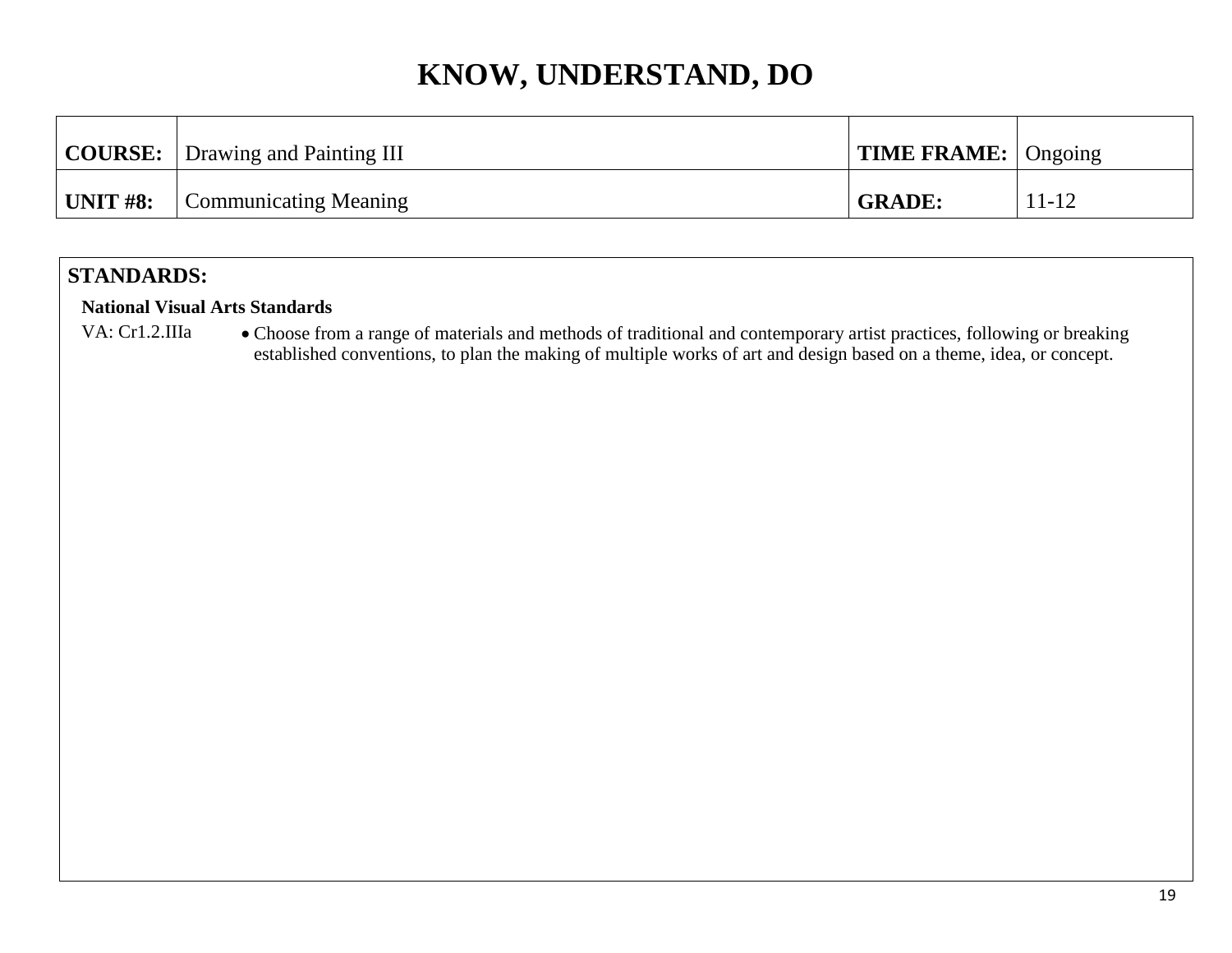|                 | <b>COURSE:</b> Drawing and Painting III | $\mid$ TIME FRAME: $\mid$ Ongoing |           |
|-----------------|-----------------------------------------|-----------------------------------|-----------|
| <b>UNIT #8:</b> | <b>Communicating Meaning</b>            | <b>GRADE:</b>                     | $11 - 12$ |

### **STANDARDS:**

#### **National Visual Arts Standards**

VA: Cr1.2.IIIa • Choose from a range of materials and methods of traditional and contemporary artist practices, following or breaking established conventions, to plan the making of multiple works of art and design based on a theme, idea, or concept.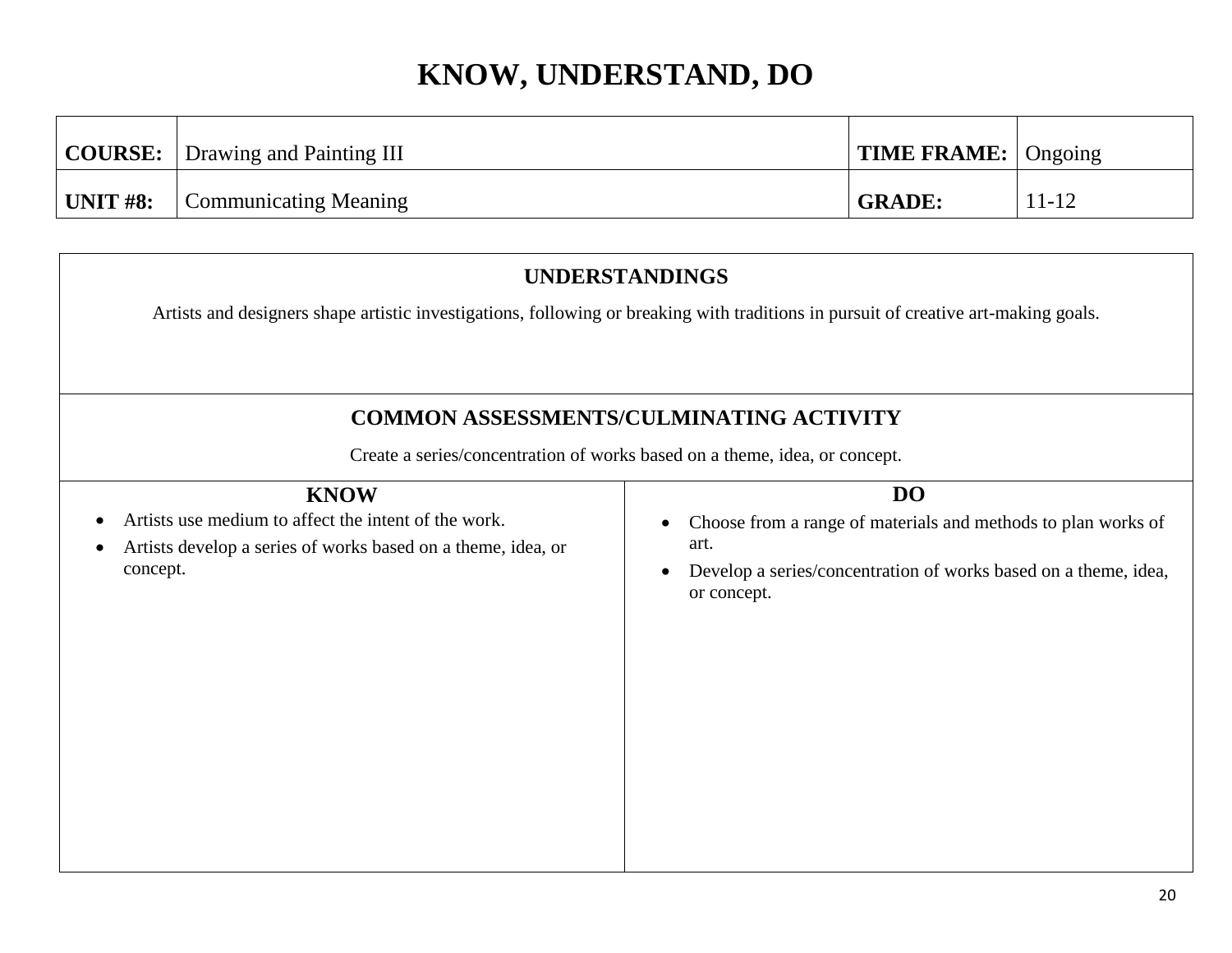|            | <b>COURSE:</b> Drawing and Painting III | $\mid$ TIME FRAME: $\mid$ Ongoing |           |
|------------|-----------------------------------------|-----------------------------------|-----------|
| ' UNIT #8: | Communicating Meaning                   | <b>GRADE:</b>                     | $11 - 12$ |

# **UNDERSTANDINGS** Artists and designers shape artistic investigations, following or breaking with traditions in pursuit of creative art-making goals. **COMMON ASSESSMENTS/CULMINATING ACTIVITY** Create a series/concentration of works based on a theme, idea, or concept. **KNOW** Artists use medium to affect the intent of the work. Artists develop a series of works based on a theme, idea, or concept. **DO** Choose from a range of materials and methods to plan works of art. Develop a series/concentration of works based on a theme, idea, or concept.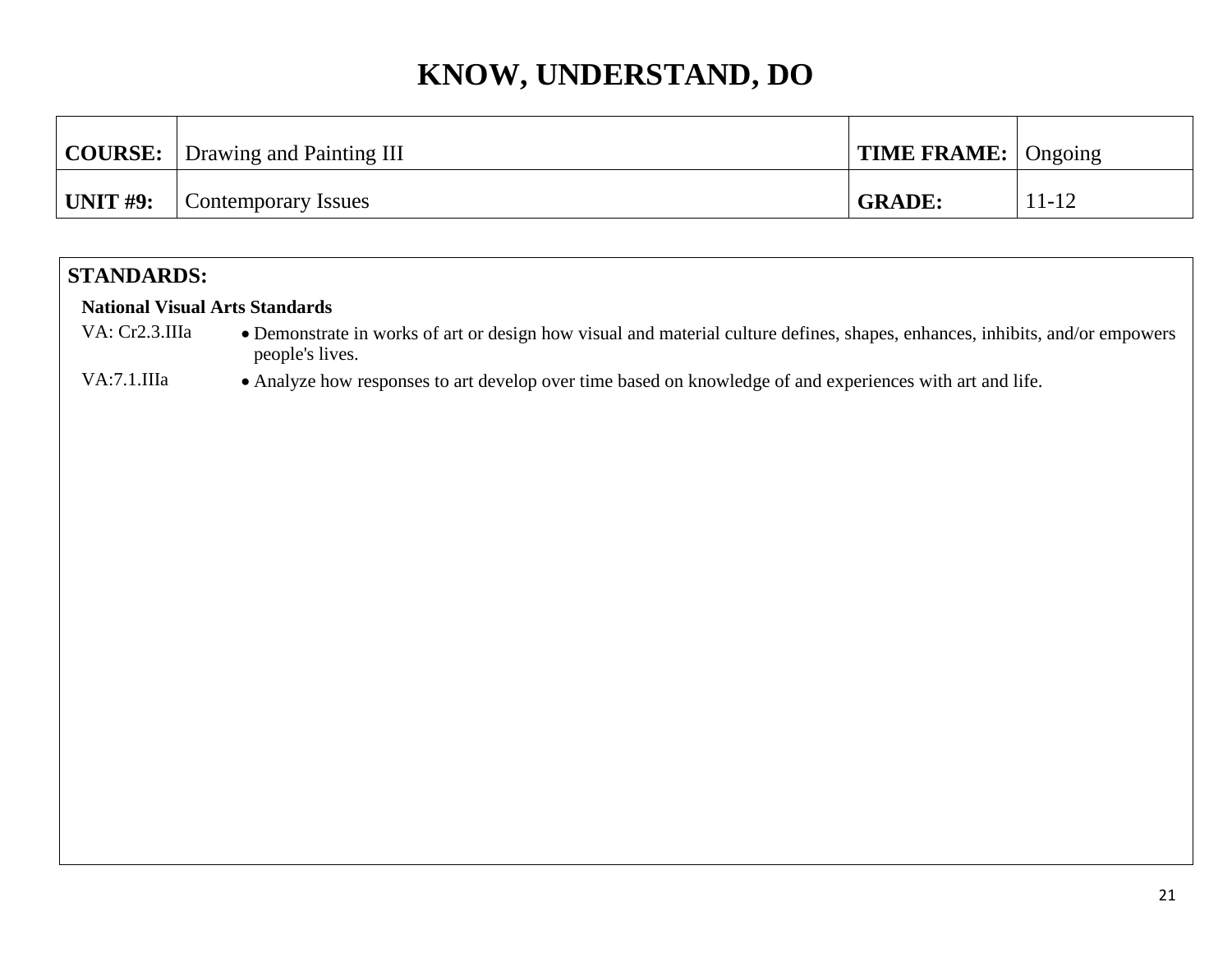|          | <b>COURSE:</b> Drawing and Painting III | $\vert$ TIME FRAME: $\vert$ Ongoing |           |
|----------|-----------------------------------------|-------------------------------------|-----------|
| UNIT #9: | Contemporary Issues                     | <b>GRADE:</b>                       | $11 - 12$ |

### **STANDARDS:**

#### **National Visual Arts Standards**

VA: Cr2.3.IIIa • Demonstrate in works of art or design how visual and material culture defines, shapes, enhances, inhibits, and/or empowers people's lives.

VA:7.1.IIIa • Analyze how responses to art develop over time based on knowledge of and experiences with art and life.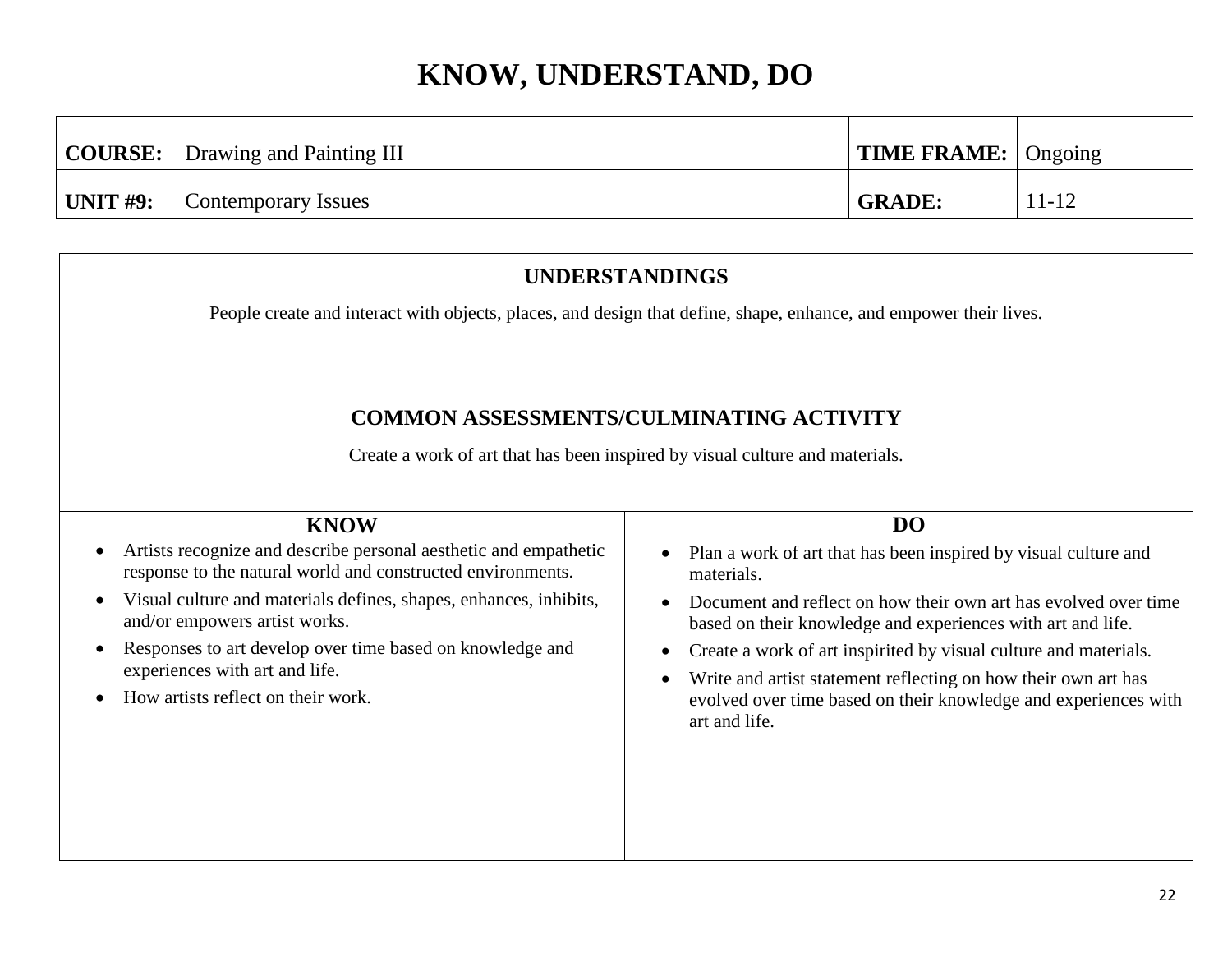|          | <b>COURSE:</b>   Drawing and Painting III | $\mid$ TIME FRAME: $\mid$ Ongoing |       |
|----------|-------------------------------------------|-----------------------------------|-------|
| UNIT #9: | Contemporary Issues                       | <b>GRADE:</b>                     | 11-12 |

## **UNDERSTANDINGS** People create and interact with objects, places, and design that define, shape, enhance, and empower their lives. **COMMON ASSESSMENTS/CULMINATING ACTIVITY** Create a work of art that has been inspired by visual culture and materials. **KNOW** Artists recognize and describe personal aesthetic and empathetic response to the natural world and constructed environments. Visual culture and materials defines, shapes, enhances, inhibits, and/or empowers artist works. Responses to art develop over time based on knowledge and experiences with art and life. How artists reflect on their work. **DO** • Plan a work of art that has been inspired by visual culture and materials. • Document and reflect on how their own art has evolved over time based on their knowledge and experiences with art and life. Create a work of art inspirited by visual culture and materials. Write and artist statement reflecting on how their own art has evolved over time based on their knowledge and experiences with art and life.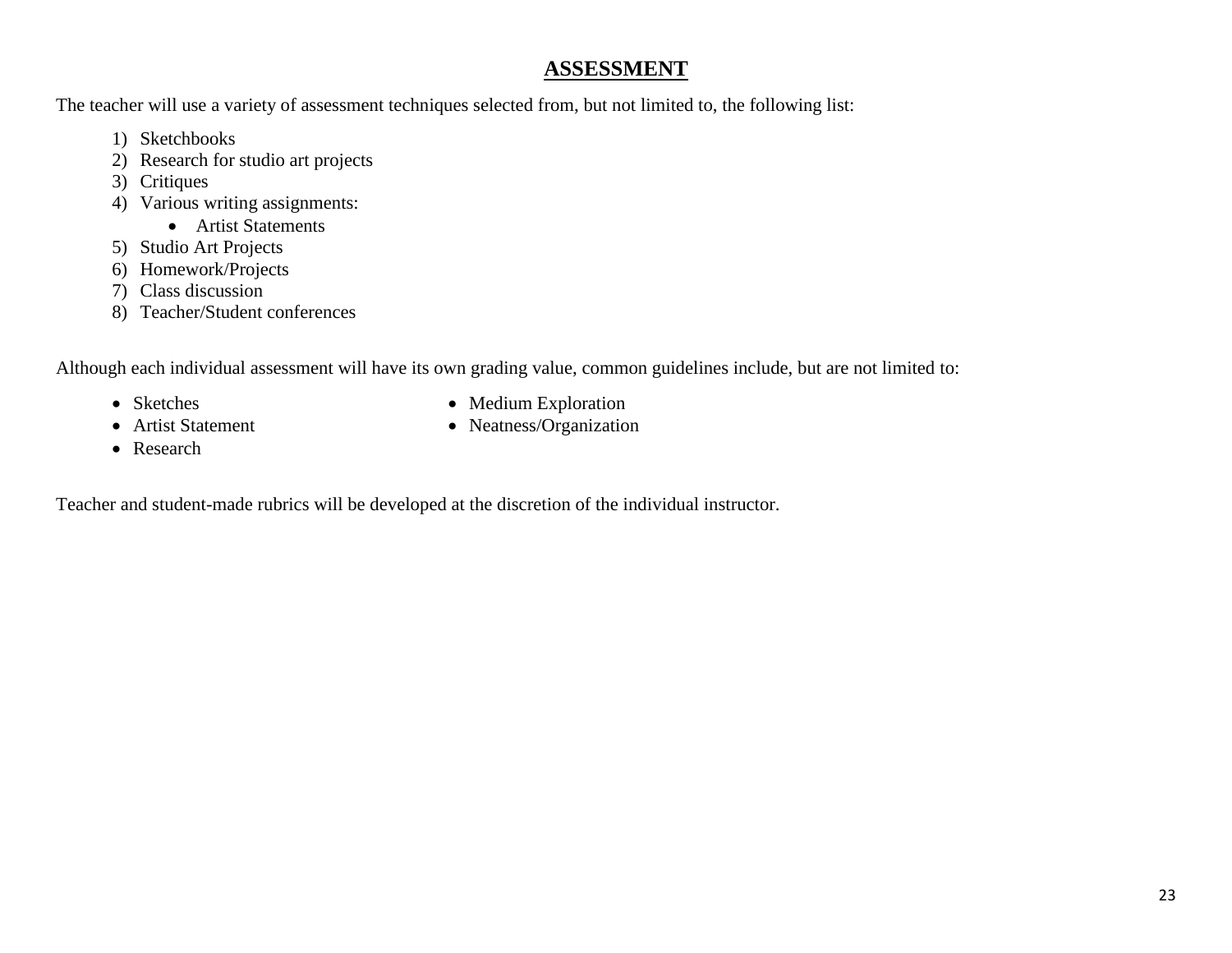#### **ASSESSMENT**

The teacher will use a variety of assessment techniques selected from, but not limited to, the following list:

- 1) Sketchbooks
- 2) Research for studio art projects
- 3) Critiques
- 4) Various writing assignments:
	- Artist Statements
- 5) Studio Art Projects
- 6) Homework/Projects
- 7) Class discussion
- 8) Teacher/Student conferences

Although each individual assessment will have its own grading value, common guidelines include, but are not limited to:

- Sketches
- Artist Statement
- Medium Exploration
- Neatness/Organization

• Research

Teacher and student-made rubrics will be developed at the discretion of the individual instructor.